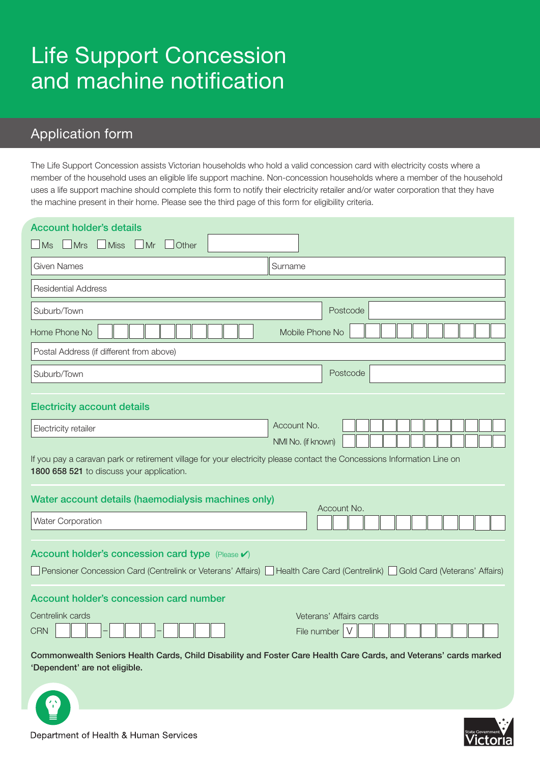# Life Support Concession and machine notification

# Application form

The Life Support Concession assists Victorian households who hold a valid concession card with electricity costs where a member of the household uses an eligible life support machine. Non-concession households where a member of the household uses a life support machine should complete this form to notify their electricity retailer and/or water corporation that they have the machine present in their home. Please see the third page of this form for eligibility criteria.

| <b>Account holder's details</b>                                                                                                                                                            |                                             |  |
|--------------------------------------------------------------------------------------------------------------------------------------------------------------------------------------------|---------------------------------------------|--|
| MS<br>$\Box$ Mrs<br>$\Box$ Miss<br>$\Box$ Mr<br><b>Other</b>                                                                                                                               |                                             |  |
| <b>Given Names</b>                                                                                                                                                                         | Surname                                     |  |
| <b>Residential Address</b>                                                                                                                                                                 |                                             |  |
| Suburb/Town                                                                                                                                                                                | Postcode                                    |  |
| Home Phone No<br>Mobile Phone No                                                                                                                                                           |                                             |  |
| Postal Address (if different from above)                                                                                                                                                   |                                             |  |
| Suburb/Town                                                                                                                                                                                | Postcode                                    |  |
|                                                                                                                                                                                            |                                             |  |
| <b>Electricity account details</b>                                                                                                                                                         |                                             |  |
| Electricity retailer                                                                                                                                                                       | Account No.                                 |  |
| NMI No. (if known)<br>If you pay a caravan park or retirement village for your electricity please contact the Concessions Information Line on<br>1800 658 521 to discuss your application. |                                             |  |
| Water account details (haemodialysis machines only)                                                                                                                                        |                                             |  |
| <b>Water Corporation</b>                                                                                                                                                                   | Account No.                                 |  |
| Account holder's concession card type (Please v)<br>Pensioner Concession Card (Centrelink or Veterans' Affairs)   Health Care Card (Centrelink)   Gold Card (Veterans' Affairs)            |                                             |  |
| Account holder's concession card number                                                                                                                                                    |                                             |  |
| Centrelink cards<br><b>CRN</b>                                                                                                                                                             | Veterans' Affairs cards<br>File number<br>V |  |
| Commonwealth Seniors Health Cards, Child Disability and Foster Care Health Care Cards, and Veterans' cards marked<br>'Dependent' are not eligible.                                         |                                             |  |



Department of Health & Human Services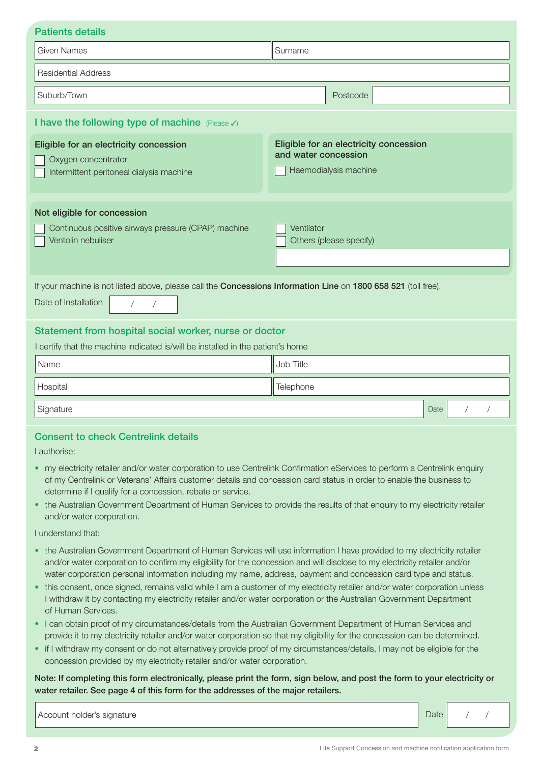| <b>Patients details</b>                                                                                                                                            |                                                                                         |
|--------------------------------------------------------------------------------------------------------------------------------------------------------------------|-----------------------------------------------------------------------------------------|
| <b>Given Names</b>                                                                                                                                                 | Surname                                                                                 |
| <b>Residential Address</b>                                                                                                                                         |                                                                                         |
| Suburb/Town                                                                                                                                                        | Postcode                                                                                |
| I have the following type of machine (Please V)                                                                                                                    |                                                                                         |
| Eligible for an electricity concession<br>Oxygen concentrator<br>Intermittent peritoneal dialysis machine                                                          | Eligible for an electricity concession<br>and water concession<br>Haemodialysis machine |
| Not eligible for concession<br>Continuous positive airways pressure (CPAP) machine<br>Ventolin nebuliser                                                           | Ventilator<br>Others (please specify)                                                   |
| If your machine is not listed above, please call the Concessions Information Line on 1800 658 521 (toll free).<br>Date of Installation<br>$\sqrt{2}$<br>$\sqrt{2}$ |                                                                                         |
| Statement from hospital social worker, nurse or doctor<br>I certify that the machine indicated is/will be installed in the patient's home                          |                                                                                         |
| Name                                                                                                                                                               | Job Title                                                                               |
| Hospital                                                                                                                                                           | Telephone                                                                               |
| Signature                                                                                                                                                          | Date                                                                                    |

# Consent to check Centrelink details

I authorise:

- my electricity retailer and/or water corporation to use Centrelink Confirmation eServices to perform a Centrelink enquiry of my Centrelink or Veterans' Affairs customer details and concession card status in order to enable the business to determine if I qualify for a concession, rebate or service.
- the Australian Government Department of Human Services to provide the results of that enquiry to my electricity retailer and/or water corporation.

I understand that:

- the Australian Government Department of Human Services will use information I have provided to my electricity retailer and/or water corporation to confirm my eligibility for the concession and will disclose to my electricity retailer and/or water corporation personal information including my name, address, payment and concession card type and status.
- this consent, once signed, remains valid while I am a customer of my electricity retailer and/or water corporation unless I withdraw it by contacting my electricity retailer and/or water corporation or the Australian Government Department of Human Services.
- I can obtain proof of my circumstances/details from the Australian Government Department of Human Services and provide it to my electricity retailer and/or water corporation so that my eligibility for the concession can be determined.
- • if I withdraw my consent or do not alternatively provide proof of my circumstances/details, I may not be eligible for the concession provided by my electricity retailer and/or water corporation.

Note: If completing this form electronically, please print the form, sign below, and post the form to your electricity or water retailer. See page 4 of this form for the addresses of the major retailers.

Account holder's signature and the state of the state of the Date and Date and Date and Date and Date and Date and Date and Date and Date and Date and Date and Date and Date and Date and Date and Date and Date and Date and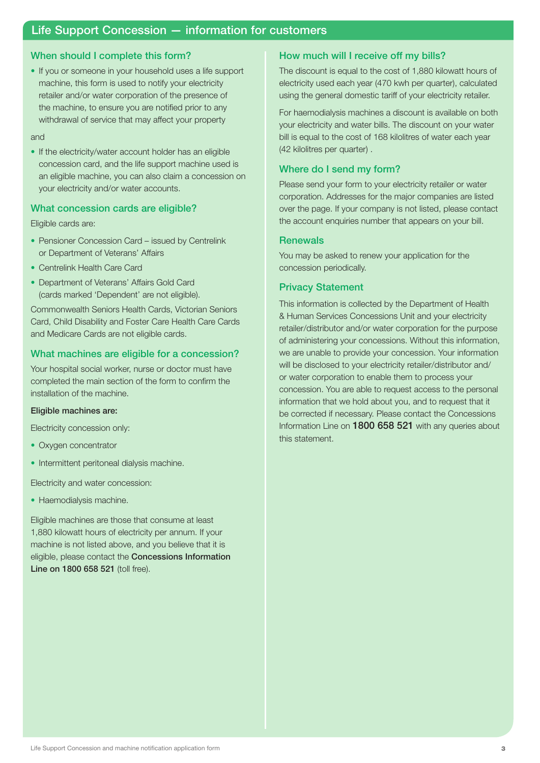# Life Support Concession — information for customers

### When should I complete this form?

• If you or someone in your household uses a life support machine, this form is used to notify your electricity retailer and/or water corporation of the presence of the machine, to ensure you are notified prior to any withdrawal of service that may affect your property

#### and

• If the electricity/water account holder has an eligible concession card, and the life support machine used is an eligible machine, you can also claim a concession on your electricity and/or water accounts.

#### What concession cards are eligible?

Eligible cards are:

- Pensioner Concession Card issued by Centrelink or Department of Veterans' Affairs
- Centrelink Health Care Card
- Department of Veterans' Affairs Gold Card (cards marked 'Dependent' are not eligible).

Commonwealth Seniors Health Cards, Victorian Seniors Card, Child Disability and Foster Care Health Care Cards and Medicare Cards are not eligible cards.

#### What machines are eligible for a concession?

Your hospital social worker, nurse or doctor must have completed the main section of the form to confirm the installation of the machine.

#### Eligible machines are:

Electricity concession only:

- Oxygen concentrator
- Intermittent peritoneal dialysis machine.

Electricity and water concession:

• Haemodialysis machine.

Eligible machines are those that consume at least 1,880 kilowatt hours of electricity per annum. If your machine is not listed above, and you believe that it is eligible, please contact the Concessions Information Line on 1800 658 521 (toll free).

#### How much will I receive off my bills?

The discount is equal to the cost of 1,880 kilowatt hours of electricity used each year (470 kwh per quarter), calculated using the general domestic tariff of your electricity retailer.

For haemodialysis machines a discount is available on both your electricity and water bills. The discount on your water bill is equal to the cost of 168 kilolitres of water each year (42 kilolitres per quarter) .

#### Where do I send my form?

Please send your form to your electricity retailer or water corporation. Addresses for the major companies are listed over the page. If your company is not listed, please contact the account enquiries number that appears on your bill.

#### **Renewals**

You may be asked to renew your application for the concession periodically.

#### Privacy Statement

This information is collected by the Department of Health & Human Services Concessions Unit and your electricity retailer/distributor and/or water corporation for the purpose of administering your concessions. Without this information, we are unable to provide your concession. Your information will be disclosed to your electricity retailer/distributor and/ or water corporation to enable them to process your concession. You are able to request access to the personal information that we hold about you, and to request that it be corrected if necessary. Please contact the Concessions Information Line on 1800 658 521 with any queries about this statement.